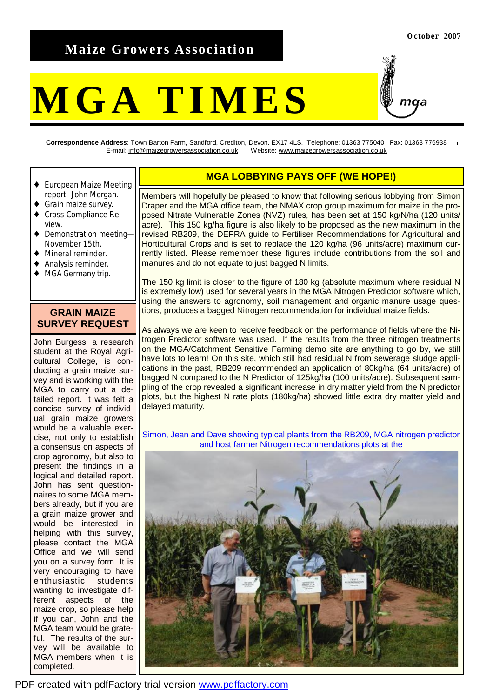## **Maize Growers Association**

# **MGA TIMES**

**Correspondence Address**: Town Barton Farm, Sandford, Crediton, Devon. EX17 4LS. Telephone: 01363 775040 Fax: 01363 776938 E-mail: [info@maizegrowersassociation.co.uk](mailto:info@maizegrowersassociation.co.uk) Website: [www.maizegrowersassociation.co.uk](http://www.maizegrowersassociation.co.uk)

- ♦ European Maize Meeting report—John Morgan.
- ♦ Grain maize survey.
- ♦ Cross Compliance Review.
- Demonstration meeting-November 15th.
- Mineral reminder.
- Analysis reminder.
- ♦ MGA Germany trip.

#### **GRAIN MAIZE SURVEY REQUEST**

John Burgess, a research student at the Royal Agricultural College, is conducting a grain maize survey and is working with the MGA to carry out a detailed report. It was felt a concise survey of individual grain maize growers would be a valuable exercise, not only to establish a consensus on aspects of crop agronomy, but also to present the findings in a logical and detailed report. John has sent questionnaires to some MGA members already, but if you are a grain maize grower and would be interested in helping with this survey, please contact the MGA Office and we will send you on a survey form. It is very encouraging to have enthusiastic students wanting to investigate different aspects of the maize crop, so please help if you can, John and the MGA team would be grateful. The results of the survey will be available to MGA members when it is completed.

#### **MGA LOBBYING PAYS OFF (WE HOPE!)**

Members will hopefully be pleased to know that following serious lobbying from Simon Draper and the MGA office team, the NMAX crop group maximum for maize in the proposed Nitrate Vulnerable Zones (NVZ) rules, has been set at 150 kg/N/ha (120 units/ acre). This 150 kg/ha figure is also likely to be proposed as the new maximum in the revised RB209, the DEFRA guide to Fertiliser Recommendations for Agricultural and Horticultural Crops and is set to replace the 120 kg/ha (96 units/acre) maximum currently listed. Please remember these figures include contributions from the soil and manures and do not equate to just bagged N limits.

The 150 kg limit is closer to the figure of 180 kg (absolute maximum where residual N is extremely low) used for several years in the MGA Nitrogen Predictor software which, using the answers to agronomy, soil management and organic manure usage questions, produces a bagged Nitrogen recommendation for individual maize fields.

As always we are keen to receive feedback on the performance of fields where the Nitrogen Predictor software was used. If the results from the three nitrogen treatments on the MGA/Catchment Sensitive Farming demo site are anything to go by, we still have lots to learn! On this site, which still had residual N from sewerage sludge applications in the past, RB209 recommended an application of 80kg/ha (64 units/acre) of bagged N compared to the N Predictor of 125kg/ha (100 units/acre). Subsequent sampling of the crop revealed a significant increase in dry matter yield from the N predictor plots, but the highest N rate plots (180kg/ha) showed little extra dry matter yield and delayed maturity.

Simon, Jean and Dave showing typical plants from the RB209, MGA nitrogen predictor and host farmer Nitrogen recommendations plots at the



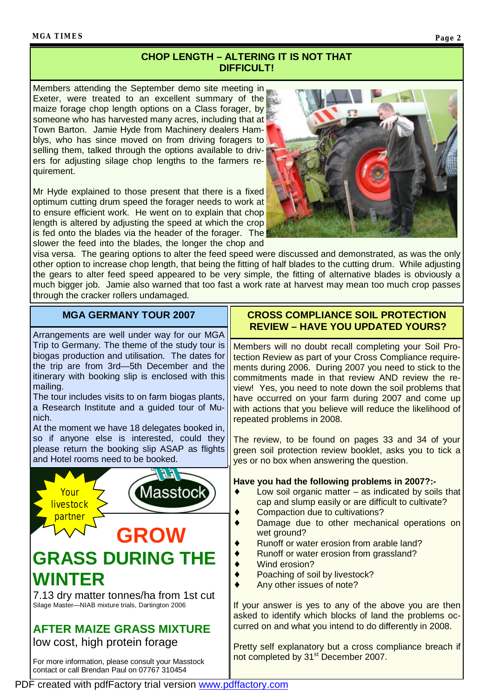#### **MGA TIMES Page 2**

#### **CHOP LENGTH – ALTERING IT IS NOT THAT DIFFICULT!**

Members attending the September demo site meeting in Exeter, were treated to an excellent summary of the maize forage chop length options on a Class forager, by someone who has harvested many acres, including that at Town Barton. Jamie Hyde from Machinery dealers Hamblys, who has since moved on from driving foragers to selling them, talked through the options available to drivers for adjusting silage chop lengths to the farmers requirement.

Mr Hyde explained to those present that there is a fixed optimum cutting drum speed the forager needs to work at to ensure efficient work. He went on to explain that chop length is altered by adjusting the speed at which the crop is fed onto the blades via the header of the forager. The slower the feed into the blades, the longer the chop and



visa versa. The gearing options to alter the feed speed were discussed and demonstrated, as was the only other option to increase chop length, that being the fitting of half blades to the cutting drum. While adjusting the gears to alter feed speed appeared to be very simple, the fitting of alternative blades is obviously a much bigger job. Jamie also warned that too fast a work rate at harvest may mean too much crop passes through the cracker rollers undamaged.

### **MGA GERMANY TOUR 2007**

Arrangements are well under way for our MGA Trip to Germany. The theme of the study tour is biogas production and utilisation. The dates for the trip are from 3rd—5th December and the itinerary with booking slip is enclosed with this mailing.

The tour includes visits to on farm biogas plants, a Research Institute and a guided tour of Munich.

At the moment we have 18 delegates booked in, so if anyone else is interested, could they please return the booking slip ASAP as flights and Hotel rooms need to be booked.



#### **CROSS COMPLIANCE SOIL PROTECTION REVIEW – HAVE YOU UPDATED YOURS?**

Members will no doubt recall completing your Soil Protection Review as part of your Cross Compliance requirements during 2006. During 2007 you need to stick to the commitments made in that review AND review the review! Yes, you need to note down the soil problems that have occurred on your farm during 2007 and come up with actions that you believe will reduce the likelihood of repeated problems in 2008.

The review, to be found on pages 33 and 34 of your green soil protection review booklet, asks you to tick a yes or no box when answering the question.

#### **Have you had the following problems in 2007?:-**

- Low soil organic matter  $-$  as indicated by soils that cap and slump easily or are difficult to cultivate?
- Compaction due to cultivations?
- Damage due to other mechanical operations on wet ground?
- Runoff or water erosion from arable land?
- Runoff or water erosion from grassland?
- Wind erosion?
- Poaching of soil by livestock?
- Any other issues of note?

If your answer is yes to any of the above you are then asked to identify which blocks of land the problems occurred on and what you intend to do differently in 2008.

Pretty self explanatory but a cross compliance breach if not completed by 31<sup>st</sup> December 2007.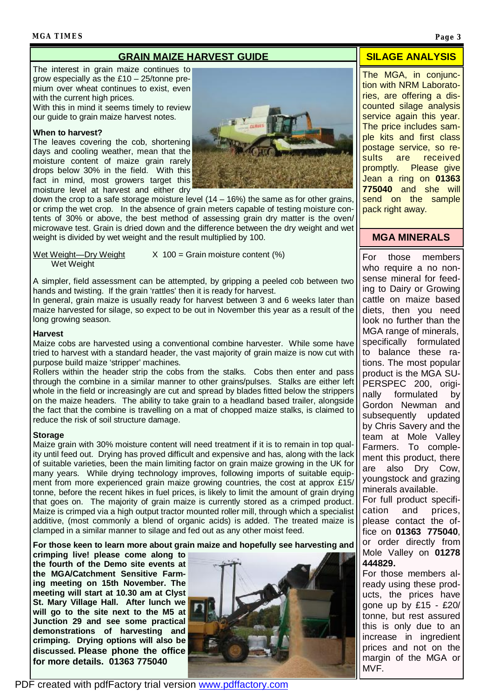#### **MGA TIMES Page 3**

#### **GRAIN MAIZE HARVEST GUIDE SILAGE ANALYSIS**

The interest in grain maize continues to grow especially as the £10 – 25/tonne premium over wheat continues to exist, even with the current high prices.

With this in mind it seems timely to review our guide to grain maize harvest notes.

#### **When to harvest?**

The leaves covering the cob, shortening days and cooling weather, mean that the moisture content of maize grain rarely drops below 30% in the field. With this fact in mind, most growers target this moisture level at harvest and either dry



down the crop to a safe storage moisture level  $(14 - 16%)$  the same as for other grains, or crimp the wet crop. In the absence of grain meters capable of testing moisture contents of 30% or above, the best method of assessing grain dry matter is the oven/ microwave test. Grain is dried down and the difference between the dry weight and wet weight is divided by wet weight and the result multiplied by 100.

Wet Weight

Wet Weight—Dry Weight  $X$  100 = Grain moisture content (%)

A simpler, field assessment can be attempted, by gripping a peeled cob between two hands and twisting. If the grain 'rattles' then it is ready for harvest.

In general, grain maize is usually ready for harvest between 3 and 6 weeks later than maize harvested for silage, so expect to be out in November this year as a result of the long growing season.

#### **Harvest**

Maize cobs are harvested using a conventional combine harvester. While some have tried to harvest with a standard header, the vast majority of grain maize is now cut with purpose build maize 'stripper' machines.

Rollers within the header strip the cobs from the stalks. Cobs then enter and pass through the combine in a similar manner to other grains/pulses. Stalks are either left whole in the field or increasingly are cut and spread by blades fitted below the strippers on the maize headers. The ability to take grain to a headland based trailer, alongside the fact that the combine is travelling on a mat of chopped maize stalks, is claimed to reduce the risk of soil structure damage.

#### **Storage**

Maize grain with 30% moisture content will need treatment if it is to remain in top quality until feed out. Drying has proved difficult and expensive and has, along with the lack of suitable varieties, been the main limiting factor on grain maize growing in the UK for many years. While drying technology improves, following imports of suitable equipment from more experienced grain maize growing countries, the cost at approx £15/ tonne, before the recent hikes in fuel prices, is likely to limit the amount of grain drying that goes on. The majority of grain maize is currently stored as a crimped product. Maize is crimped via a high output tractor mounted roller mill, through which a specialist additive, (most commonly a blend of organic acids) is added. The treated maize is clamped in a similar manner to silage and fed out as any other moist feed.

**For those keen to learn more about grain maize and hopefully see harvesting and** 

**crimping live! please come along to the fourth of the Demo site events at the MGA/Catchment Sensitive Farming meeting on 15th November. The meeting will start at 10.30 am at Clyst St. Mary Village Hall. After lunch we will go to the site next to the M5 at Junction 29 and see some practical demonstrations of harvesting and crimping. Drying options will also be discussed. Please phone the office for more details. 01363 775040**



The MGA, in conjunction with NRM Laboratories, are offering a discounted silage analysis service again this year. The price includes sample kits and first class postage service, so results are received promptly. Please give Jean a ring on **01363 775040** and she will send on the sample pack right away.

#### **MGA MINERALS**

For those members who require a no nonsense mineral for feeding to Dairy or Growing cattle on maize based diets, then you need look no further than the MGA range of minerals, specifically formulated to balance these rations. The most popular product is the MGA SU-PERSPEC 200, originally formulated by Gordon Newman and subsequently updated by Chris Savery and the team at Mole Valley Farmers. To complement this product, there are also Dry Cow, youngstock and grazing minerals available.

For full product specification and prices, please contact the office on **01363 775040**, or order directly from Mole Valley on **01278 444829.** 

For those members already using these products, the prices have gone up by £15 - £20/ tonne, but rest assured this is only due to an increase in ingredient prices and not on the margin of the MGA or MVF.